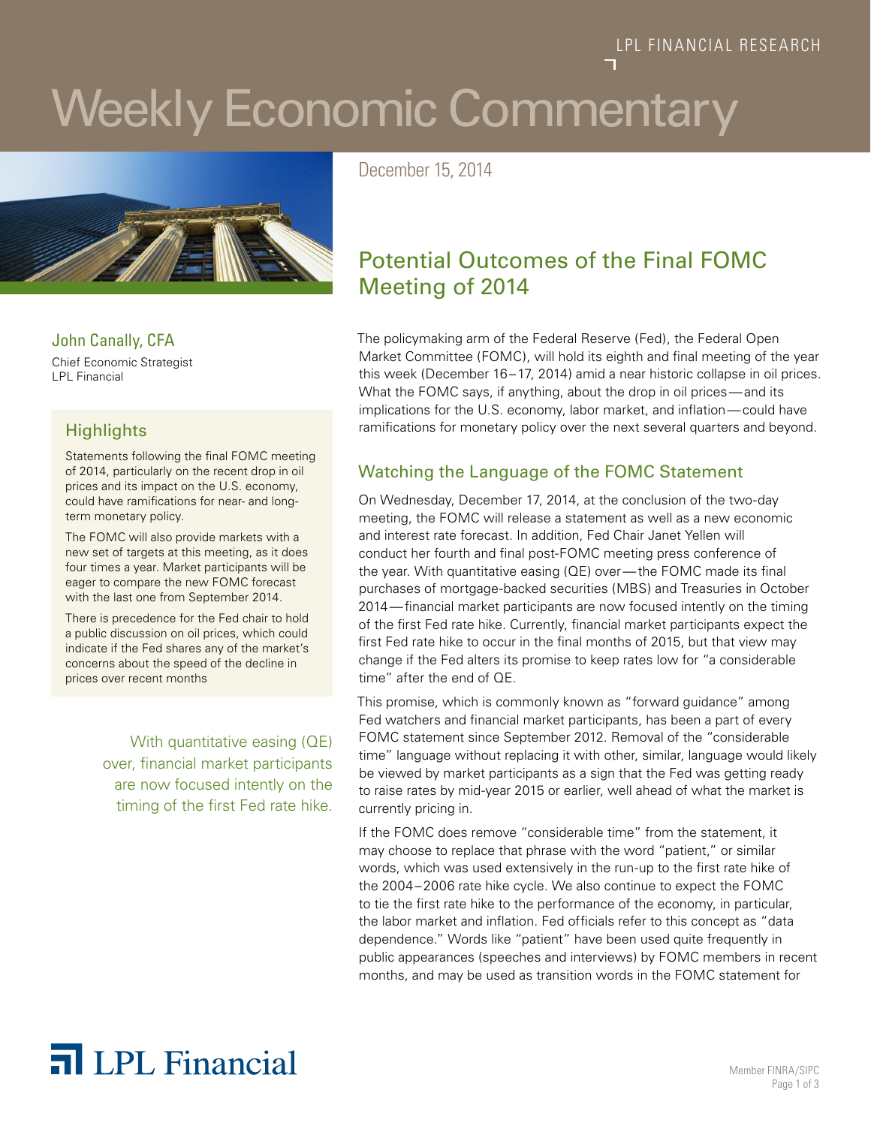#### LPL FINANCIAL RESEARCH

# Weekly Economic Commentary



John Canally, CFA

Chief Economic Strategist LPL Financial

#### **Highlights**

Statements following the final FOMC meeting of 2014, particularly on the recent drop in oil prices and its impact on the U.S. economy, could have ramifications for near- and longterm monetary policy.

The FOMC will also provide markets with a new set of targets at this meeting, as it does four times a year. Market participants will be eager to compare the new FOMC forecast with the last one from September 2014.

There is precedence for the Fed chair to hold a public discussion on oil prices, which could indicate if the Fed shares any of the market's concerns about the speed of the decline in prices over recent months

> With quantitative easing (QE) over, financial market participants are now focused intently on the timing of the first Fed rate hike.

December 15, 2014

### Potential Outcomes of the Final FOMC Meeting of 2014

The policymaking arm of the Federal Reserve (Fed), the Federal Open Market Committee (FOMC), will hold its eighth and final meeting of the year this week (December 16–17, 2014) amid a near historic collapse in oil prices. What the FOMC says, if anything, about the drop in oil prices—and its implications for the U.S. economy, labor market, and inflation—could have ramifications for monetary policy over the next several quarters and beyond.

#### Watching the Language of the FOMC Statement

On Wednesday, December 17, 2014, at the conclusion of the two-day meeting, the FOMC will release a statement as well as a new economic and interest rate forecast. In addition, Fed Chair Janet Yellen will conduct her fourth and final post-FOMC meeting press conference of the year. With quantitative easing (QE) over—the FOMC made its final purchases of mortgage-backed securities (MBS) and Treasuries in October 2014—financial market participants are now focused intently on the timing of the first Fed rate hike. Currently, financial market participants expect the first Fed rate hike to occur in the final months of 2015, but that view may change if the Fed alters its promise to keep rates low for "a considerable time" after the end of QE.

This promise, which is commonly known as "forward guidance" among Fed watchers and financial market participants, has been a part of every FOMC statement since September 2012. Removal of the "considerable time" language without replacing it with other, similar, language would likely be viewed by market participants as a sign that the Fed was getting ready to raise rates by mid-year 2015 or earlier, well ahead of what the market is currently pricing in.

If the FOMC does remove "considerable time" from the statement, it may choose to replace that phrase with the word "patient," or similar words, which was used extensively in the run-up to the first rate hike of the 2004–2006 rate hike cycle. We also continue to expect the FOMC to tie the first rate hike to the performance of the economy, in particular, the labor market and inflation. Fed officials refer to this concept as "data dependence." Words like "patient" have been used quite frequently in public appearances (speeches and interviews) by FOMC members in recent months, and may be used as transition words in the FOMC statement for

## The **Member FINRA/SIPC** Nember FINRA/SIPC

Page 1 of 3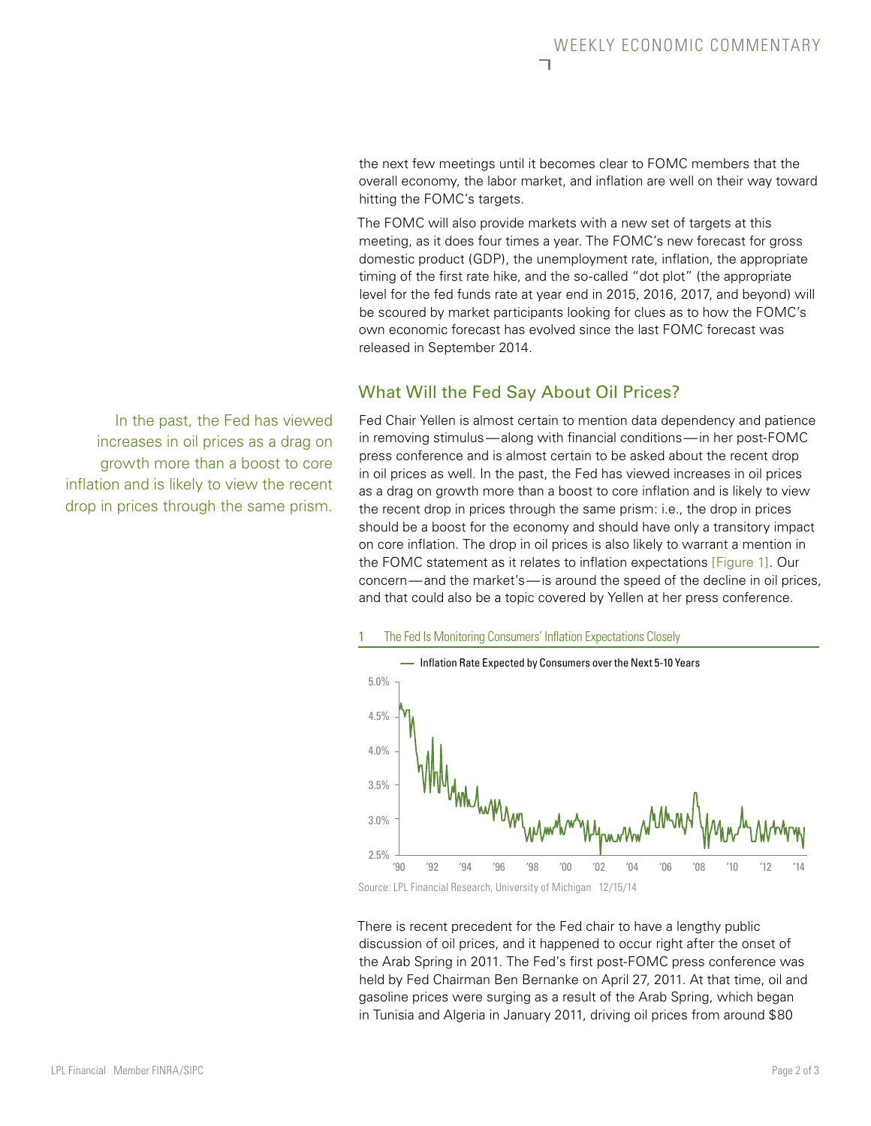the next few meetings until it becomes clear to FOMC members that the overall economy, the labor market, and inflation are well on their way toward hitting the FOMC's targets.

The FOMC will also provide markets with a new set of targets at this meeting, as it does four times a year. The FOMC's new forecast for gross domestic product (GDP), the unemployment rate, inflation, the appropriate timing of the first rate hike, and the so-called "dot plot" (the appropriate level for the fed funds rate at year end in 2015, 2016, 2017, and beyond) will be scoured by market participants looking for clues as to how the FOMC's own economic forecast has evolved since the last FOMC forecast was released in September 2014.

#### What Will the Fed Say About Oil Prices?

Fed Chair Yellen is almost certain to mention data dependency and patience in removing stimulus—along with financial conditions—in her post-FOMC press conference and is almost certain to be asked about the recent drop in oil prices as well. In the past, the Fed has viewed increases in oil prices as a drag on growth more than a boost to core inflation and is likely to view the recent drop in prices through the same prism: i.e., the drop in prices should be a boost for the economy and should have only a transitory impact on core inflation. The drop in oil prices is also likely to warrant a mention in the FOMC statement as it relates to inflation expectations [Figure 1]. Our concern—and the market's—is around the speed of the decline in oil prices, and that could also be a topic covered by Yellen at her press conference.





There is recent precedent for the Fed chair to have a lengthy public discussion of oil prices, and it happened to occur right after the onset of the Arab Spring in 2011. The Fed's first post-FOMC press conference was held by Fed Chairman Ben Bernanke on April 27, 2011. At that time, oil and gasoline prices were surging as a result of the Arab Spring, which began in Tunisia and Algeria in January 2011, driving oil prices from around \$80

In the past, the Fed has viewed increases in oil prices as a drag on growth more than a boost to core inflation and is likely to view the recent drop in prices through the same prism.